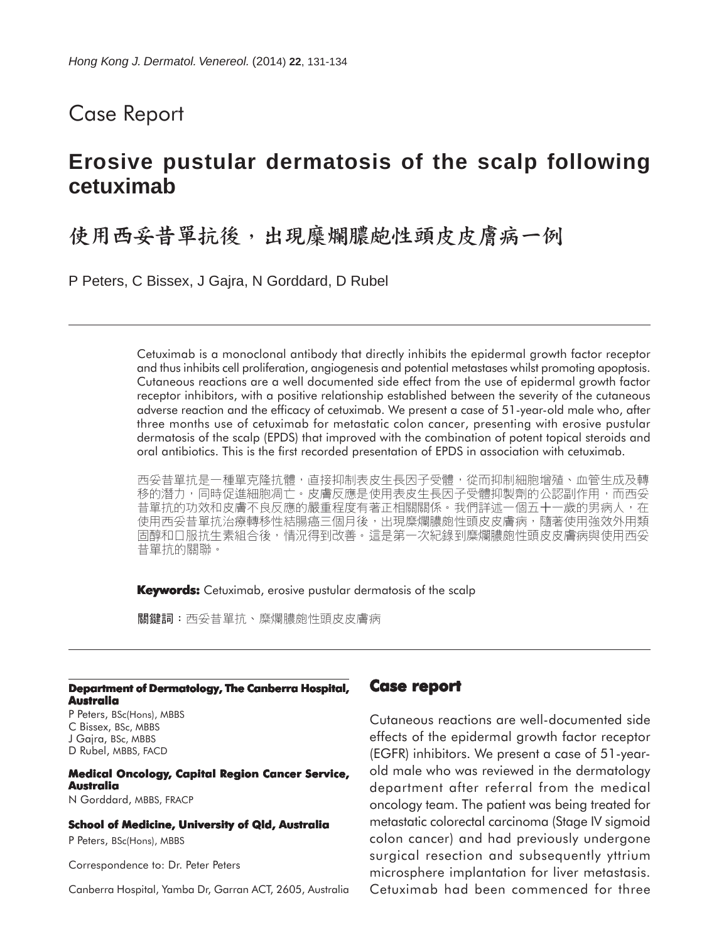## Case Report

## **Erosive pustular dermatosis of the scalp following cetuximab**

# 使用西妥昔單抗後,出現糜爛膿皰性頭皮皮膚病一例

P Peters, C Bissex, J Gajra, N Gorddard, D Rubel

Cetuximab is a monoclonal antibody that directly inhibits the epidermal growth factor receptor and thus inhibits cell proliferation, angiogenesis and potential metastases whilst promoting apoptosis. Cutaneous reactions are a well documented side effect from the use of epidermal growth factor receptor inhibitors, with a positive relationship established between the severity of the cutaneous adverse reaction and the efficacy of cetuximab. We present a case of 51-year-old male who, after three months use of cetuximab for metastatic colon cancer, presenting with erosive pustular dermatosis of the scalp (EPDS) that improved with the combination of potent topical steroids and oral antibiotics. This is the first recorded presentation of EPDS in association with cetuximab.

西妥昔單抗是一種單克隆抗體,直接抑制表皮生長因子受體,從而抑制細胞增殖、血管生成及轉 移的潛力,同時促進細胞凋亡。皮膚反應是使用表皮生長因子受體抑製劑的公認副作用,而西妥 昔單抗的功效和皮膚不良反應的嚴重程度有著正相關關係。我們詳述一個五十一歲的男病人,在 使用西妥昔單抗治療轉移性結腸癌三個月後,出現糜爛膿皰性頭皮皮膚病,隨著使用強效外用類 固醇和口服抗生素組合後,情況得到改善。這是第一次紀錄到糜爛膿皰性頭皮皮膚病與使用西妥 昔單抗的關聯。

**Keywords:** Cetuximab, erosive pustular dermatosis of the scalp

關鍵詞:西妥昔單抗、糜爛膿皰性頭皮皮膚病

#### **Department of Dermatology, The Canberra Hospital, Australia**

P Peters, BSc(Hons), MBBS C Bissex, BSc, MBBS J Gajra, BSc, MBBS D Rubel, MBBS, FACD

#### **Medical Oncology, Capital Region Cancer Service, Australia** N Gorddard, MBBS, FRACP

#### **School of Medicine, University of Qld, Australia**

P Peters, BSc(Hons), MBBS

Correspondence to: Dr. Peter Peters

Canberra Hospital, Yamba Dr, Garran ACT, 2605, Australia

### **Case report**

Cutaneous reactions are well-documented side effects of the epidermal growth factor receptor (EGFR) inhibitors. We present a case of 51-yearold male who was reviewed in the dermatology department after referral from the medical oncology team. The patient was being treated for metastatic colorectal carcinoma (Stage IV sigmoid colon cancer) and had previously undergone surgical resection and subsequently yttrium microsphere implantation for liver metastasis. Cetuximab had been commenced for three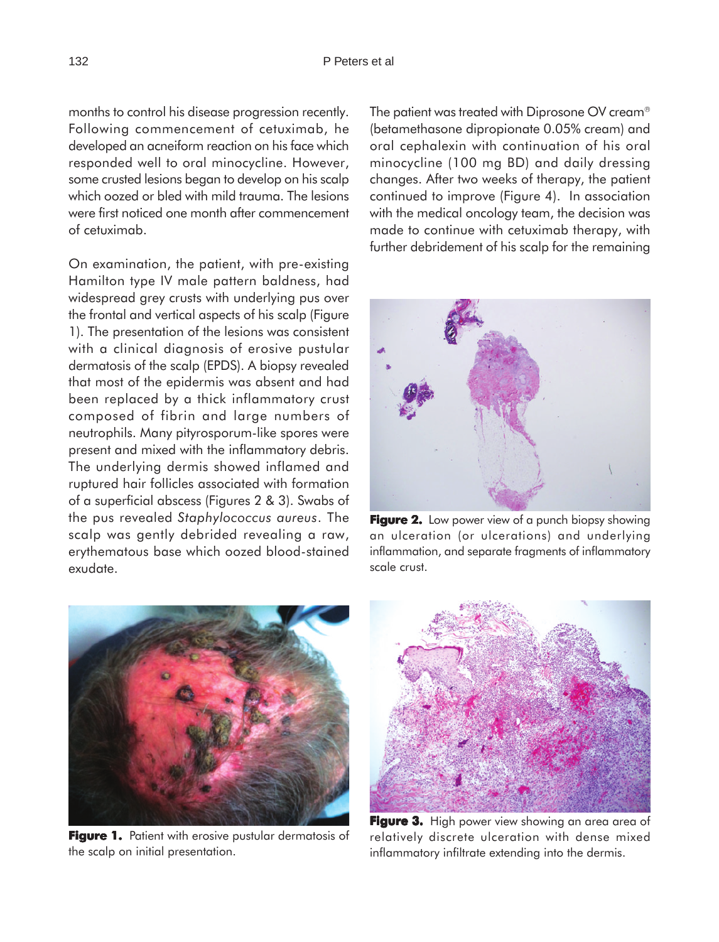months to control his disease progression recently. Following commencement of cetuximab, he developed an acneiform reaction on his face which responded well to oral minocycline. However, some crusted lesions began to develop on his scalp which oozed or bled with mild trauma. The lesions were first noticed one month after commencement of cetuximab.

On examination, the patient, with pre-existing Hamilton type IV male pattern baldness, had widespread grey crusts with underlying pus over the frontal and vertical aspects of his scalp (Figure 1). The presentation of the lesions was consistent with a clinical diagnosis of erosive pustular dermatosis of the scalp (EPDS). A biopsy revealed that most of the epidermis was absent and had been replaced by a thick inflammatory crust composed of fibrin and large numbers of neutrophils. Many pityrosporum-like spores were present and mixed with the inflammatory debris. The underlying dermis showed inflamed and ruptured hair follicles associated with formation of a superficial abscess (Figures 2 & 3). Swabs of the pus revealed *Staphylococcus aureus*. The scalp was gently debrided revealing a raw, erythematous base which oozed blood-stained exudate.

The patient was treated with Diprosone OV cream<sup>®</sup> (betamethasone dipropionate 0.05% cream) and oral cephalexin with continuation of his oral minocycline (100 mg BD) and daily dressing changes. After two weeks of therapy, the patient continued to improve (Figure 4). In association with the medical oncology team, the decision was made to continue with cetuximab therapy, with further debridement of his scalp for the remaining



**Figure 2.** Low power view of a punch biopsy showing an ulceration (or ulcerations) and underlying inflammation, and separate fragments of inflammatory scale crust.



**Figure 1.** Patient with erosive pustular dermatosis of the scalp on initial presentation.



Figure 3. High power view showing an area area of relatively discrete ulceration with dense mixed inflammatory infiltrate extending into the dermis.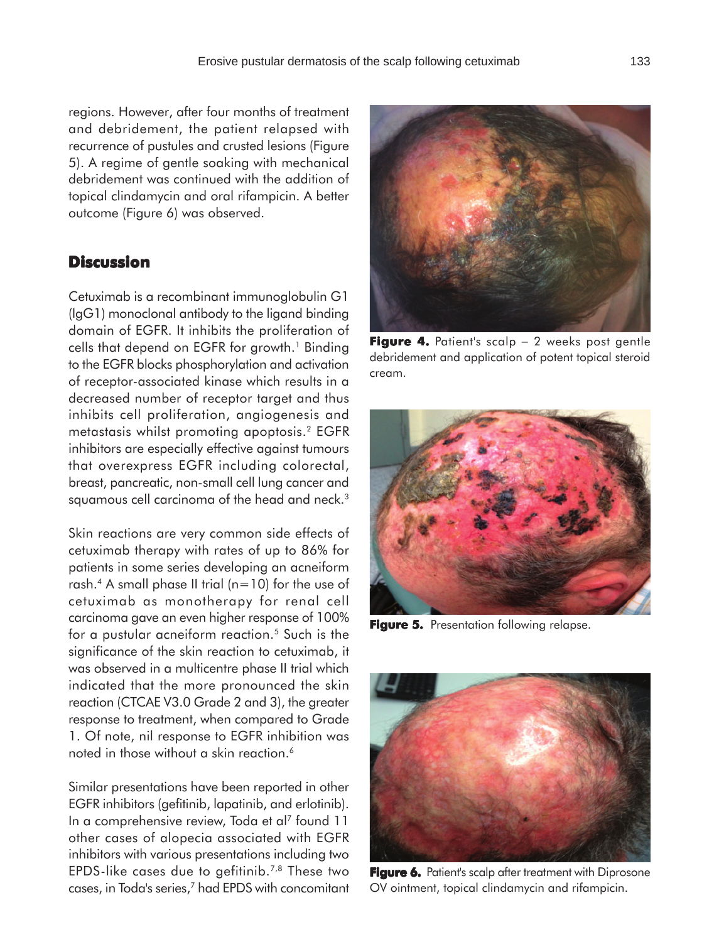regions. However, after four months of treatment and debridement, the patient relapsed with recurrence of pustules and crusted lesions (Figure 5). A regime of gentle soaking with mechanical debridement was continued with the addition of topical clindamycin and oral rifampicin. A better outcome (Figure 6) was observed.

## **Discussion**

Cetuximab is a recombinant immunoglobulin G1 (IgG1) monoclonal antibody to the ligand binding domain of EGFR. It inhibits the proliferation of cells that depend on EGFR for growth.<sup>1</sup> Binding to the EGFR blocks phosphorylation and activation of receptor-associated kinase which results in a decreased number of receptor target and thus inhibits cell proliferation, angiogenesis and metastasis whilst promoting apoptosis.2 EGFR inhibitors are especially effective against tumours that overexpress EGFR including colorectal, breast, pancreatic, non-small cell lung cancer and squamous cell carcinoma of the head and neck.<sup>3</sup>

Skin reactions are very common side effects of cetuximab therapy with rates of up to 86% for patients in some series developing an acneiform rash.<sup>4</sup> A small phase II trial ( $n=10$ ) for the use of cetuximab as monotherapy for renal cell carcinoma gave an even higher response of 100% for a pustular acneiform reaction.<sup>5</sup> Such is the significance of the skin reaction to cetuximab, it was observed in a multicentre phase II trial which indicated that the more pronounced the skin reaction (CTCAE V3.0 Grade 2 and 3), the greater response to treatment, when compared to Grade 1. Of note, nil response to EGFR inhibition was noted in those without a skin reaction.<sup>6</sup>

Similar presentations have been reported in other EGFR inhibitors (gefitinib, lapatinib, and erlotinib). In a comprehensive review, Toda et al<sup>7</sup> found 11 other cases of alopecia associated with EGFR inhibitors with various presentations including two EPDS-like cases due to gefitinib.7,8 These two cases, in Toda's series,7 had EPDS with concomitant

**Figure 4. 4.** Patient's scalp − 2 weeks post gentle debridement and application of potent topical steroid cream.

**Figure 6.** Patient's scalp after treatment with Diprosone OV ointment, topical clindamycin and rifampicin.